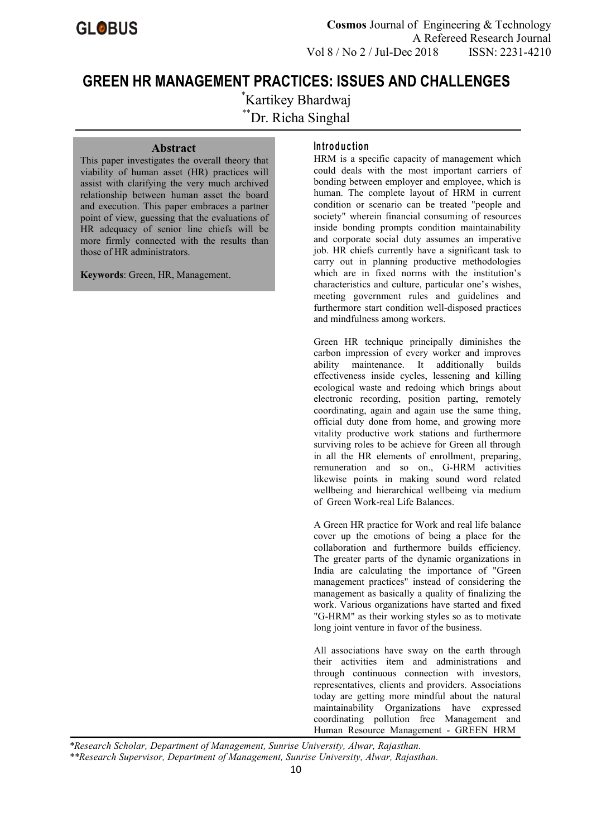**Cosmos** Journal of Engineering & Technology A Refereed Research Journal Vol 8 / No 2 / Jul-Dec 2018 ISSN: 2231-4210

# **GREEN HR MANAGEMENT PRACTICES: ISSUES AND CHALLENGES**

\*Kartikey Bhardwaj \*\*Dr. Richa Singhal

### **Abstract**

This paper investigates the overall theory that viability of human asset (HR) practices will assist with clarifying the very much archived relationship between human asset the board and execution. This paper embraces a partner point of view, guessing that the evaluations of HR adequacy of senior line chiefs will be more firmly connected with the results than those of HR administrators.

**Keywords**: Green, HR, Management.

### **In tro d u c tio n**

HRM is a specific capacity of management which could deals with the most important carriers of bonding between employer and employee, which is human. The complete layout of HRM in current condition or scenario can be treated "people and society" wherein financial consuming of resources inside bonding prompts condition maintainability and corporate social duty assumes an imperative job. HR chiefs currently have a significant task to carry out in planning productive methodologies which are in fixed norms with the institution's characteristics and culture, particular one's wishes, meeting government rules and guidelines and furthermore start condition well-disposed practices and mindfulness among workers.

Green HR technique principally diminishes the carbon impression of every worker and improves ability maintenance. It additionally builds effectiveness inside cycles, lessening and killing ecological waste and redoing which brings about electronic recording, position parting, remotely coordinating, again and again use the same thing, official duty done from home, and growing more vitality productive work stations and furthermore surviving roles to be achieve for Green all through in all the HR elements of enrollment, preparing, remuneration and so on., G-HRM activities likewise points in making sound word related wellbeing and hierarchical wellbeing via medium of Green Work-real Life Balances.

A Green HR practice for Work and real life balance cover up the emotions of being a place for the collaboration and furthermore builds efficiency. The greater parts of the dynamic organizations in India are calculating the importance of "Green management practices" instead of considering the management as basically a quality of finalizing the work. Various organizations have started and fixed "G-HRM" as their working styles so as to motivate long joint venture in favor of the business.

All associations have sway on the earth through their activities item and administrations and through continuous connection with investors, representatives, clients and providers. Associations today are getting more mindful about the natural maintainability Organizations have expressed coordinating pollution free Management and Human Resource Management - GREEN HRM

*<sup>\*</sup>Research Scholar, Department of Management, Sunrise University, Alwar, Rajasthan.*

*<sup>\*\*</sup>Research Supervisor, Department of Management, Sunrise University, Alwar, Rajasthan.*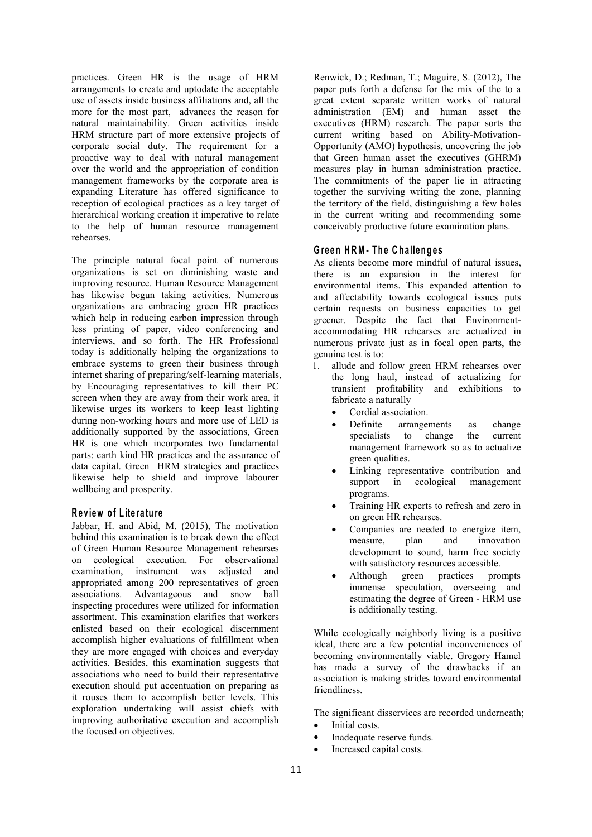practices. Green HR is the usage of HRM arrangements to create and uptodate the acceptable use of assets inside business affiliations and, all the more for the most part, advances the reason for natural maintainability. Green activities inside HRM structure part of more extensive projects of corporate social duty. The requirement for a proactive way to deal with natural management over the world and the appropriation of condition management frameworks by the corporate area is expanding Literature has offered significance to reception of ecological practices as a key target of hierarchical working creation it imperative to relate to the help of human resource management rehearses.

The principle natural focal point of numerous organizations is set on diminishing waste and improving resource. Human Resource Management has likewise begun taking activities. Numerous organizations are embracing green HR practices which help in reducing carbon impression through less printing of paper, video conferencing and interviews, and so forth. The HR Professional today is additionally helping the organizations to embrace systems to green their business through  $\frac{6}{1}$ internet sharing of preparing/self-learning materials, by Encouraging representatives to kill their PC screen when they are away from their work area, it likewise urges its workers to keep least lighting during non-working hours and more use of LED is **Definite** additionally supported by the associations, Green HR is one which incorporates two fundamental parts: earth kind HR practices and the assurance of data capital. Green HRM strategies and practices likewise help to shield and improve labourer wellbeing and prosperity.

# **R e v iew o f L ite ra tu re**

Jabbar, H. and Abid, M. (2015), The motivation behind this examination is to break down the effect of Green Human Resource Management rehearses on ecological execution. For observational examination, instrument was adjusted and • Although appropriated among 200 representatives of green associations. Advantageous and snow ball inspecting procedures were utilized for information assortment. This examination clarifies that workers enlisted based on their ecological discernment accomplish higher evaluations of fulfillment when they are more engaged with choices and everyday activities. Besides, this examination suggests that associations who need to build their representative execution should put accentuation on preparing as it rouses them to accomplish better levels. This exploration undertaking will assist chiefs with improving authoritative execution and accomplish the focused on objectives.

Renwick, D.; Redman, T.; Maguire, S. (2012), The paper puts forth a defense for the mix of the to a great extent separate written works of natural administration (EM) and human asset the executives (HRM) research. The paper sorts the current writing based on Ability-Motivation- Opportunity (AMO) hypothesis, uncovering the job that Green human asset the executives (GHRM) measures play in human administration practice. The commitments of the paper lie in attracting together the surviving writing the zone, planning the territory of the field, distinguishing a few holes in the current writing and recommending some conceivably productive future examination plans.

# **G re en H RM - T h e C h a llen g e s**

As clients become more mindful of natural issues, there is an expansion in the interest for environmental items. This expanded attention to and affectability towards ecological issues puts certain requests on business capacities to get greener. Despite the fact that Environment accommodating HR rehearses are actualized in numerous private just as in focal open parts, the genuine test is to:

- allude and follow green HRM rehearses over the long haul, instead of actualizing for transient profitability and exhibitions to fabricate a naturally
	- Cordial association.
	- arrangements as change specialists to change the current management framework so as to actualize green qualities.
	- Linking representative contribution and support in ecological management programs.
	- Training HR experts to refresh and zero in on green HR rehearses.
	- Companies are needed to energize item, measure, plan and innovation development to sound, harm free society with satisfactory resources accessible.
	- green practices prompts immense speculation, overseeing and estimating the degree of Green - HRM use is additionally testing.

While ecologically neighborly living is a positive ideal, there are a few potential inconveniences of becoming environmentally viable. Gregory Hamel has made a survey of the drawbacks if an association is making strides toward environmental friendliness.

The significant disservices are recorded underneath;

- Initial costs.
- Inadequate reserve funds.
- Increased capital costs.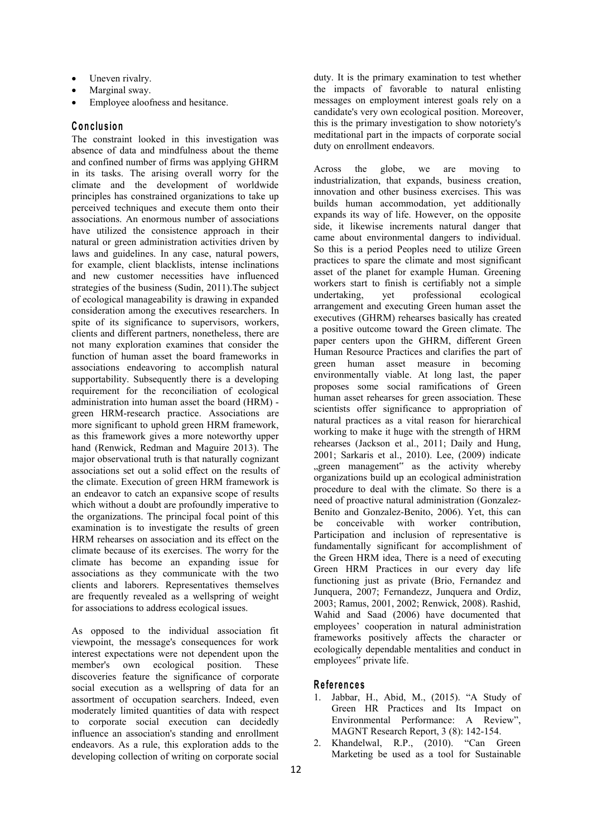- Uneven rivalry.
- Marginal sway.
- Employee aloofness and hesitance.

## **C o n c lu sio n**

The constraint looked in this investigation was absence of data and mindfulness about the theme and confined number of firms was applying GHRM<br>in its tests. The existence overall worms for the Across the globe, we are in its tasks. The arising overall worry for the climate and the development of worldwide principles has constrained organizations to take up perceived techniques and execute them onto their associations. An enormous number of associations have utilized the consistence approach in their natural or green administration activities driven by laws and guidelines. In any case, natural powers, for example, client blacklists, intense inclinations and new customer necessities have influenced strategies of the business (Sudin, 2011). The subject workers star<br>of seekalized managerability is denoing in amounted of ecological manageability is drawing in expanded consideration among the executives researchers. In spite of its significance to supervisors, workers, clients and different partners, nonetheless, there are not many exploration examines that consider the function of human asset the board frameworks in associations endeavoring to accomplish natural supportability. Subsequently there is a developing requirement for the reconciliation of ecological administration into human asset the board (HRM) green HRM-research practice. Associations are more significant to uphold green HRM framework, as this framework gives a more noteworthy upper hand (Renwick, Redman and Maguire 2013). The major observational truth is that naturally cognizant associations set out a solid effect on the results of the climate. Execution of green HRM framework is an endeavor to catch an expansive scope of results which without a doubt are profoundly imperative to the organizations. The principal focal point of this be examination is to investigate the results of green HRM rehearses on association and its effect on the climate because of its exercises. The worry for the climate has become an expanding issue for associations as they communicate with the two clients and laborers. Representatives themselves are frequently revealed as a wellspring of weight for associations to address ecological issues.

As opposed to the individual association fit viewpoint, the message's consequences for work interest expectations were not dependent upon the member's own ecological position. These discoveries feature the significance of corporate social execution as a wellspring of data for an assortment of occupation searchers. Indeed, even moderately limited quantities of data with respect to corporate social execution can decidedly influence an association's standing and enrollment endeavors. As a rule, this exploration adds to the developing collection of writing on corporate social

duty. It is the primary examination to test whether the impacts of favorable to natural enlisting messages on employment interest goals rely on a candidate's very own ecological position. Moreover, this is the primary investigation to show notoriety's meditational part in the impacts of corporate social duty on enrollment endeavors.

the globe, we are moving to industrialization, that expands, business creation, innovation and other business exercises. This was builds human accommodation, yet additionally expands its way of life. However, on the opposite side, it likewise increments natural danger that came about environmental dangers to individual. So this is a period Peoples need to utilize Green practices to spare the climate and most significant asset of the planet for example Human. Greening workers start to finish is certifiably not a simple yet professional ecological arrangement and executing Green human asset the executives (GHRM) rehearses basically has created a positive outcome toward the Green climate. The paper centers upon the GHRM, different Green Human Resource Practices and clarifies the part of green human asset measure in becoming environmentally viable. At long last, the paper proposes some social ramifications of Green human asset rehearses for green association. These scientists offer significance to appropriation of natural practices as a vital reason for hierarchical working to make it huge with the strength of HRM rehearses (Jackson et al., 2011; Daily and Hung, 2001; Sarkaris et al., 2010). Lee, (2009) indicate "green management" as the activity whereby organizations build up an ecological administration procedure to deal with the climate. So there is a need of proactive natural administration (Gonzalez-Benito and Gonzalez-Benito, 2006). Yet, this can be conceivable with worker contribution, Participation and inclusion of representative is fundamentally significant for accomplishment of the Green HRM idea, There is a need of executing Green HRM Practices in our every day life functioning just as private (Brio, Fernandez and Junquera, 2007; Fernandezz, Junquera and Ordiz, 2003; Ramus, 2001, 2002; Renwick, 2008). Rashid, Wahid and Saad (2006) have documented that employees' cooperation in natural administration frameworks positively affects the character or ecologically dependable mentalities and conduct in employees" private life.

# **R e fe ren c e s**

- 1. Jabbar, H., Abid, M., (2015). "A Study of Green HR Practices and Its Impact on Environmental Performance: A Review", MAGNT Research Report, 3 (8): 142-154.
- 2. Khandelwal, R.P., (2010). "Can Green Marketing be used as a tool for Sustainable